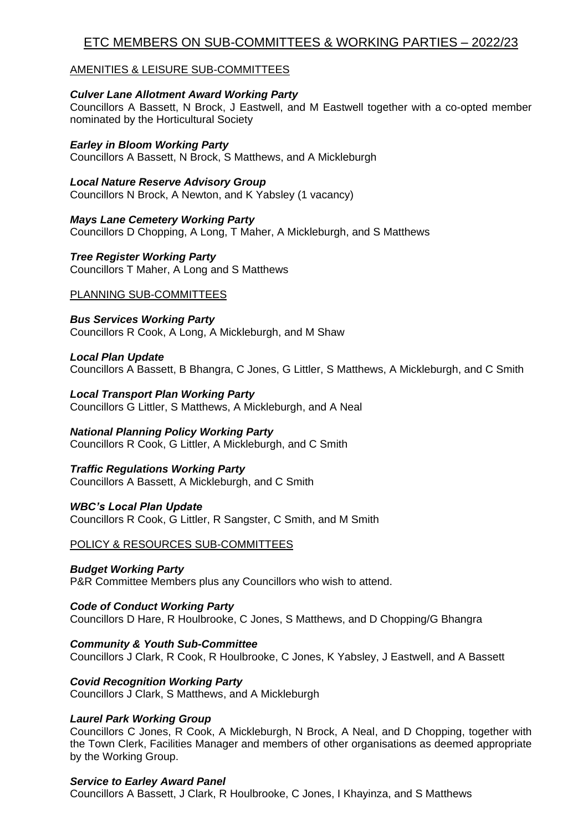# ETC MEMBERS ON SUB-COMMITTEES & WORKING PARTIES – 2022/23

## AMENITIES & LEISURE SUB-COMMITTEES

## *Culver Lane Allotment Award Working Party*

Councillors A Bassett, N Brock, J Eastwell, and M Eastwell together with a co-opted member nominated by the Horticultural Society

# *Earley in Bloom Working Party*

Councillors A Bassett, N Brock, S Matthews, and A Mickleburgh

# *Local Nature Reserve Advisory Group*

Councillors N Brock, A Newton, and K Yabsley (1 vacancy)

# *Mays Lane Cemetery Working Party*

Councillors D Chopping, A Long, T Maher, A Mickleburgh, and S Matthews

# *Tree Register Working Party*

Councillors T Maher, A Long and S Matthews

# PLANNING SUB-COMMITTEES

*Bus Services Working Party*  Councillors R Cook, A Long, A Mickleburgh, and M Shaw

# *Local Plan Update*

Councillors A Bassett, B Bhangra, C Jones, G Littler, S Matthews, A Mickleburgh, and C Smith

*Local Transport Plan Working Party* Councillors G Littler, S Matthews, A Mickleburgh, and A Neal

# *National Planning Policy Working Party*

Councillors R Cook, G Littler, A Mickleburgh, and C Smith

## *Traffic Regulations Working Party*

Councillors A Bassett, A Mickleburgh, and C Smith

## *WBC's Local Plan Update*

Councillors R Cook, G Littler, R Sangster, C Smith, and M Smith

## POLICY & RESOURCES SUB-COMMITTEES

## *Budget Working Party*

P&R Committee Members plus any Councillors who wish to attend.

## *Code of Conduct Working Party*

Councillors D Hare, R Houlbrooke, C Jones, S Matthews, and D Chopping/G Bhangra

*Community & Youth Sub-Committee*

Councillors J Clark, R Cook, R Houlbrooke, C Jones, K Yabsley, J Eastwell, and A Bassett

# *Covid Recognition Working Party*

Councillors J Clark, S Matthews, and A Mickleburgh

## *Laurel Park Working Group*

Councillors C Jones, R Cook, A Mickleburgh, N Brock, A Neal, and D Chopping, together with the Town Clerk, Facilities Manager and members of other organisations as deemed appropriate by the Working Group.

## *Service to Earley Award Panel*

Councillors A Bassett, J Clark, R Houlbrooke, C Jones, I Khayinza, and S Matthews